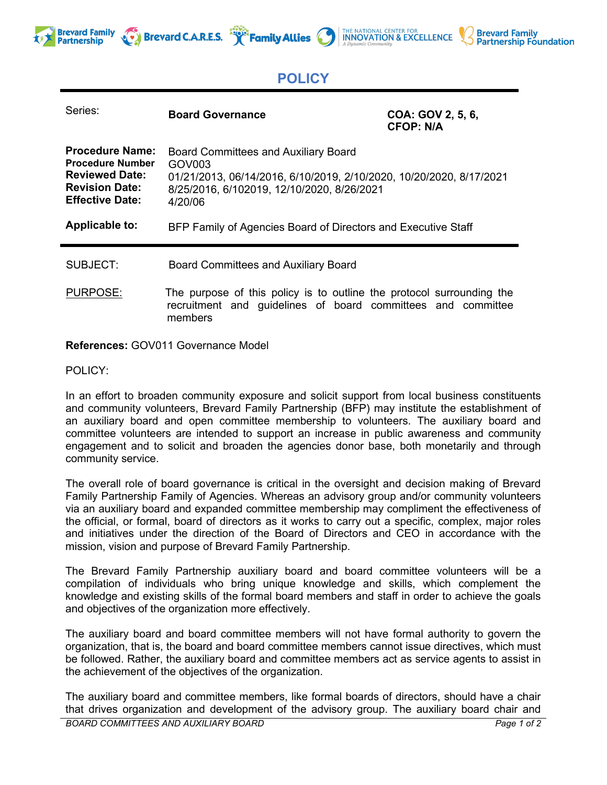





# **POLICY**

| Series:                                                                                                                       | <b>Board Governance</b>                                                                                                                                                                           | COA: GOV 2, 5, 6,<br><b>CFOP: N/A</b> |
|-------------------------------------------------------------------------------------------------------------------------------|---------------------------------------------------------------------------------------------------------------------------------------------------------------------------------------------------|---------------------------------------|
| <b>Procedure Name:</b><br><b>Procedure Number</b><br><b>Reviewed Date:</b><br><b>Revision Date:</b><br><b>Effective Date:</b> | <b>Board Committees and Auxiliary Board</b><br>GOV <sub>003</sub><br>01/21/2013, 06/14/2016, 6/10/2019, 2/10/2020, 10/20/2020, 8/17/2021<br>8/25/2016, 6/102019, 12/10/2020, 8/26/2021<br>4/20/06 |                                       |
| Applicable to:                                                                                                                | BFP Family of Agencies Board of Directors and Executive Staff                                                                                                                                     |                                       |
| SUBJECT:                                                                                                                      | <b>Board Committees and Auxiliary Board</b>                                                                                                                                                       |                                       |
| <b>PURPOSE:</b>                                                                                                               | The purpose of this policy is to outline the protocol surrounding the<br>recruitment and guidelines of board committees and committee<br>members                                                  |                                       |

**References:** GOV011 Governance Model

## POLICY:

In an effort to broaden community exposure and solicit support from local business constituents and community volunteers, Brevard Family Partnership (BFP) may institute the establishment of an auxiliary board and open committee membership to volunteers. The auxiliary board and committee volunteers are intended to support an increase in public awareness and community engagement and to solicit and broaden the agencies donor base, both monetarily and through community service.

The overall role of board governance is critical in the oversight and decision making of Brevard Family Partnership Family of Agencies. Whereas an advisory group and/or community volunteers via an auxiliary board and expanded committee membership may compliment the effectiveness of the official, or formal, board of directors as it works to carry out a specific, complex, major roles and initiatives under the direction of the Board of Directors and CEO in accordance with the mission, vision and purpose of Brevard Family Partnership.

The Brevard Family Partnership auxiliary board and board committee volunteers will be a compilation of individuals who bring unique knowledge and skills, which complement the knowledge and existing skills of the formal board members and staff in order to achieve the goals and objectives of the organization more effectively.

The auxiliary board and board committee members will not have formal authority to govern the organization, that is, the board and board committee members cannot issue directives, which must be followed. Rather, the auxiliary board and committee members act as service agents to assist in the achievement of the objectives of the organization.

The auxiliary board and committee members, like formal boards of directors, should have a chair that drives organization and development of the advisory group. The auxiliary board chair and